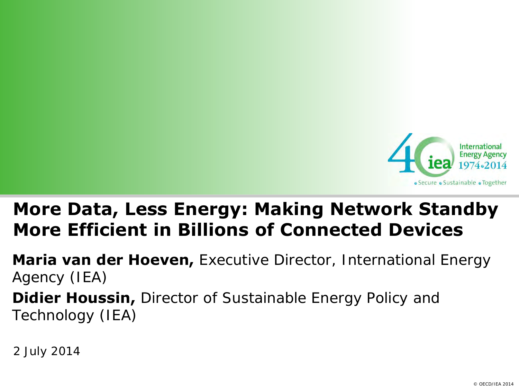

#### **More Data, Less Energy: Making Network Standby More Efficient in Billions of Connected Devices**

**Maria van der Hoeven,** Executive Director, International Energy Agency (IEA) **Didier Houssin,** Director of Sustainable Energy Policy and Technology (IEA)

2 July 2014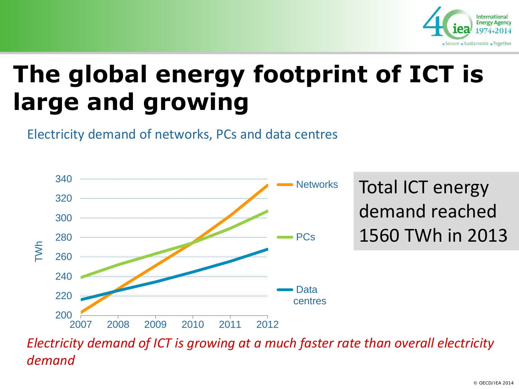

# **The global energy footprint of ICT is large and growing**

Electricity demand of networks, PCs and data centres



*Electricity demand of ICT is growing at a much faster rate than overall electricity demand*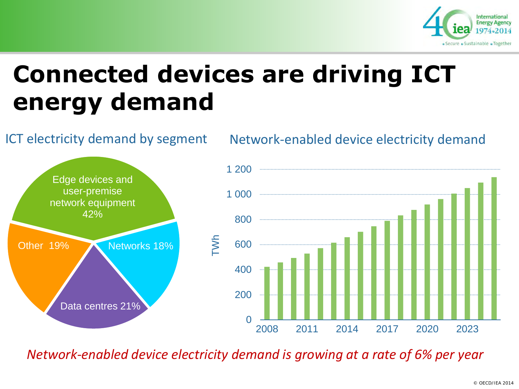

## **Connected devices are driving ICT energy demand**



*Network-enabled device electricity demand is growing at a rate of 6% per year*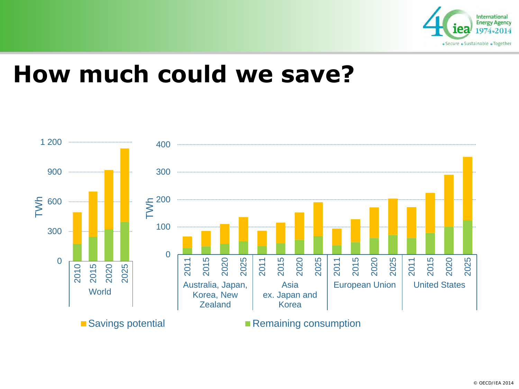

#### **How much could we save?**

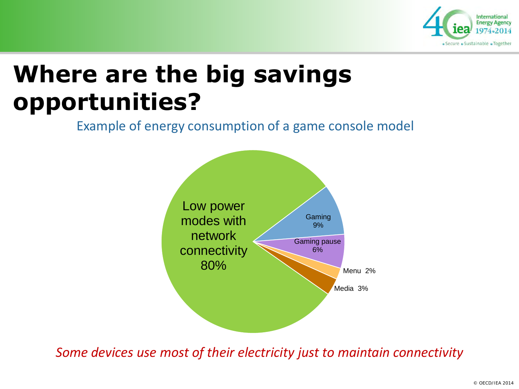

## **Where are the big savings opportunities?**

Example of energy consumption of a game console model



*Some devices use most of their electricity just to maintain connectivity*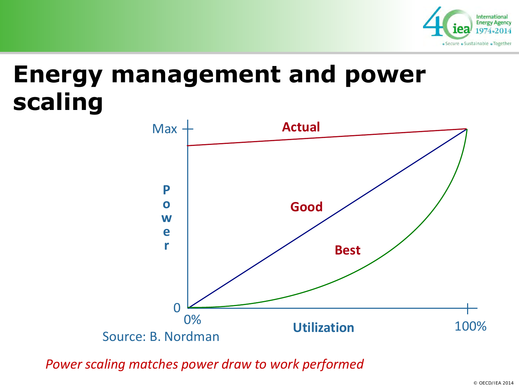

#### **Energy management and power scaling**



*Power scaling matches power draw to work performed*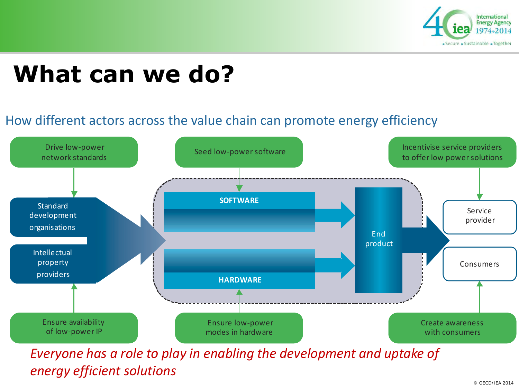

#### **What can we do?**

#### How different actors across the value chain can promote energy efficiency



*Everyone has a role to play in enabling the development and uptake of energy efficient solutions*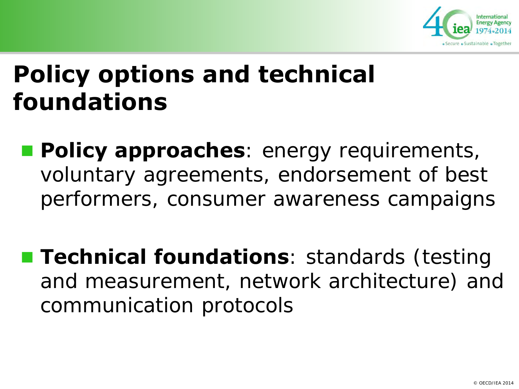

#### **Policy options and technical foundations**

- **Policy approaches**: energy requirements, voluntary agreements, endorsement of best performers, consumer awareness campaigns
- **Technical foundations**: standards (testing and measurement, network architecture) and communication protocols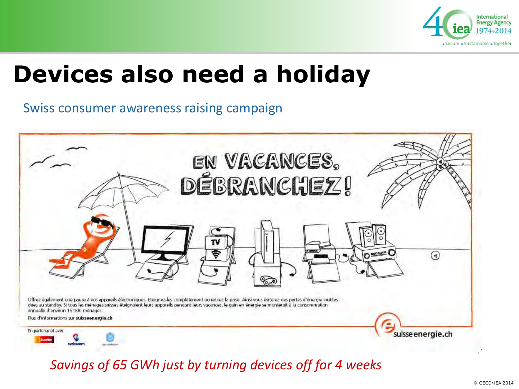

#### **Devices also need a holiday**

Swiss consumer awareness raising campaign



*Savings of 65 GWh just by turning devices off for 4 weeks*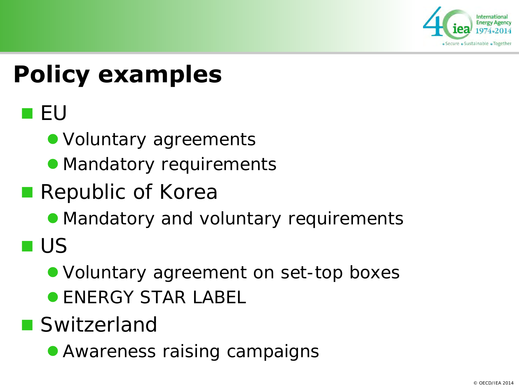

## **Policy examples**

**TEU** 

• Voluntary agreements

• Mandatory requirements

**Republic of Korea** 

• Mandatory and voluntary requirements

**US** 

• Voluntary agreement on set-top boxes

**• ENERGY STAR LABEL** 

■ Switzerland

• Awareness raising campaigns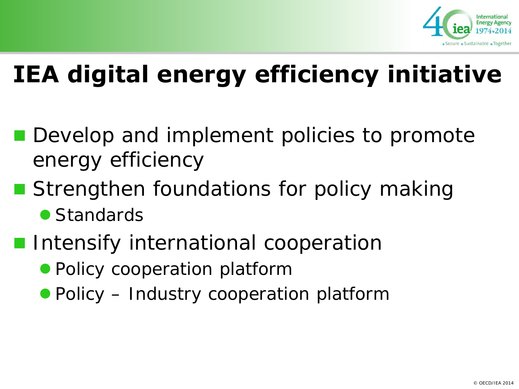

## **IEA digital energy efficiency initiative**

- **Develop and implement policies to promote** energy efficiency
- Strengthen foundations for policy making
	- Standards
- **Intensify international cooperation** 
	- Policy cooperation platform
	- **Policy Industry cooperation platform**